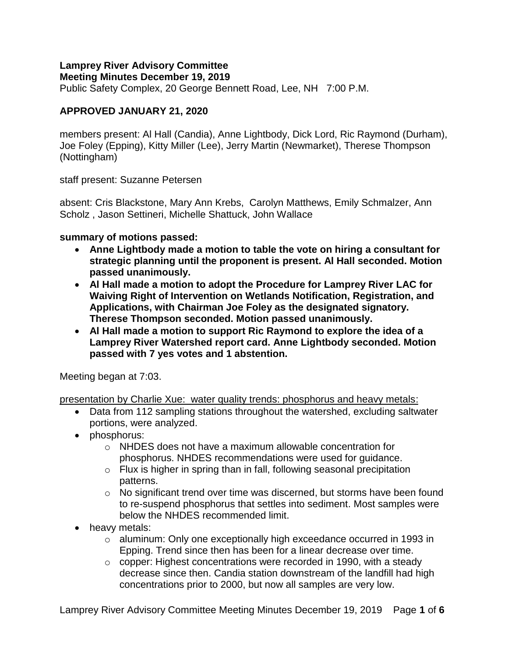# **Lamprey River Advisory Committee**

**Meeting Minutes December 19, 2019**

Public Safety Complex, 20 George Bennett Road, Lee, NH 7:00 P.M.

## **APPROVED JANUARY 21, 2020**

members present: Al Hall (Candia), Anne Lightbody, Dick Lord, Ric Raymond (Durham), Joe Foley (Epping), Kitty Miller (Lee), Jerry Martin (Newmarket), Therese Thompson (Nottingham)

staff present: Suzanne Petersen

absent: Cris Blackstone, Mary Ann Krebs, Carolyn Matthews, Emily Schmalzer, Ann Scholz , Jason Settineri, Michelle Shattuck, John Wallace

### **summary of motions passed:**

- **Anne Lightbody made a motion to table the vote on hiring a consultant for strategic planning until the proponent is present. Al Hall seconded. Motion passed unanimously.**
- **Al Hall made a motion to adopt the Procedure for Lamprey River LAC for Waiving Right of Intervention on Wetlands Notification, Registration, and Applications, with Chairman Joe Foley as the designated signatory. Therese Thompson seconded. Motion passed unanimously.**
- **Al Hall made a motion to support Ric Raymond to explore the idea of a Lamprey River Watershed report card. Anne Lightbody seconded. Motion passed with 7 yes votes and 1 abstention.**

Meeting began at 7:03.

presentation by Charlie Xue: water quality trends: phosphorus and heavy metals:

- Data from 112 sampling stations throughout the watershed, excluding saltwater portions, were analyzed.
- phosphorus:
	- o NHDES does not have a maximum allowable concentration for phosphorus. NHDES recommendations were used for guidance.
	- o Flux is higher in spring than in fall, following seasonal precipitation patterns.
	- o No significant trend over time was discerned, but storms have been found to re-suspend phosphorus that settles into sediment. Most samples were below the NHDES recommended limit.
- heavy metals:
	- $\circ$  aluminum: Only one exceptionally high exceedance occurred in 1993 in Epping. Trend since then has been for a linear decrease over time.
	- $\circ$  copper: Highest concentrations were recorded in 1990, with a steady decrease since then. Candia station downstream of the landfill had high concentrations prior to 2000, but now all samples are very low.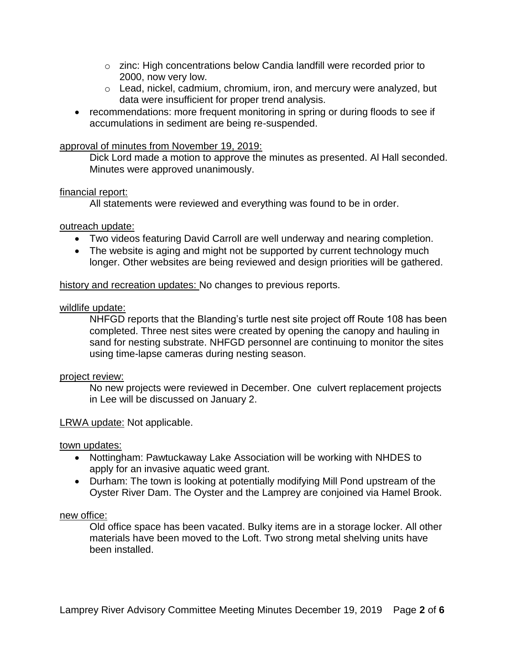- $\circ$  zinc: High concentrations below Candia landfill were recorded prior to 2000, now very low.
- o Lead, nickel, cadmium, chromium, iron, and mercury were analyzed, but data were insufficient for proper trend analysis.
- recommendations: more frequent monitoring in spring or during floods to see if accumulations in sediment are being re-suspended.

### approval of minutes from November 19, 2019:

Dick Lord made a motion to approve the minutes as presented. Al Hall seconded. Minutes were approved unanimously.

### financial report:

All statements were reviewed and everything was found to be in order.

### outreach update:

- Two videos featuring David Carroll are well underway and nearing completion.
- The website is aging and might not be supported by current technology much longer. Other websites are being reviewed and design priorities will be gathered.

### history and recreation updates: No changes to previous reports.

### wildlife update:

NHFGD reports that the Blanding's turtle nest site project off Route 108 has been completed. Three nest sites were created by opening the canopy and hauling in sand for nesting substrate. NHFGD personnel are continuing to monitor the sites using time-lapse cameras during nesting season.

### project review:

No new projects were reviewed in December. One culvert replacement projects in Lee will be discussed on January 2.

### LRWA update: Not applicable.

### town updates:

- Nottingham: Pawtuckaway Lake Association will be working with NHDES to apply for an invasive aquatic weed grant.
- Durham: The town is looking at potentially modifying Mill Pond upstream of the Oyster River Dam. The Oyster and the Lamprey are conjoined via Hamel Brook.

#### new office:

Old office space has been vacated. Bulky items are in a storage locker. All other materials have been moved to the Loft. Two strong metal shelving units have been installed.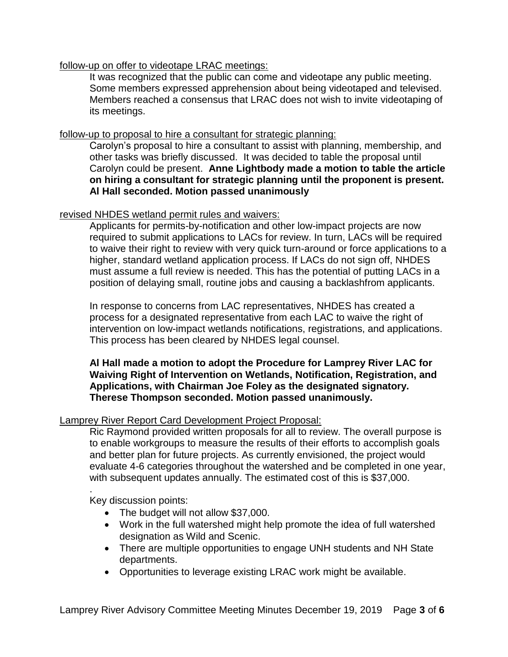### follow-up on offer to videotape LRAC meetings:

It was recognized that the public can come and videotape any public meeting. Some members expressed apprehension about being videotaped and televised. Members reached a consensus that LRAC does not wish to invite videotaping of its meetings.

### follow-up to proposal to hire a consultant for strategic planning:

Carolyn's proposal to hire a consultant to assist with planning, membership, and other tasks was briefly discussed. It was decided to table the proposal until Carolyn could be present. **Anne Lightbody made a motion to table the article on hiring a consultant for strategic planning until the proponent is present. Al Hall seconded. Motion passed unanimously**

### revised NHDES wetland permit rules and waivers:

Applicants for permits-by-notification and other low-impact projects are now required to submit applications to LACs for review. In turn, LACs will be required to waive their right to review with very quick turn-around or force applications to a higher, standard wetland application process. If LACs do not sign off, NHDES must assume a full review is needed. This has the potential of putting LACs in a position of delaying small, routine jobs and causing a backlashfrom applicants.

In response to concerns from LAC representatives, NHDES has created a process for a designated representative from each LAC to waive the right of intervention on low-impact wetlands notifications, registrations, and applications. This process has been cleared by NHDES legal counsel.

### **Al Hall made a motion to adopt the Procedure for Lamprey River LAC for Waiving Right of Intervention on Wetlands, Notification, Registration, and Applications, with Chairman Joe Foley as the designated signatory. Therese Thompson seconded. Motion passed unanimously.**

### Lamprey River Report Card Development Project Proposal:

Ric Raymond provided written proposals for all to review. The overall purpose is to enable workgroups to measure the results of their efforts to accomplish goals and better plan for future projects. As currently envisioned, the project would evaluate 4-6 categories throughout the watershed and be completed in one year, with subsequent updates annually. The estimated cost of this is \$37,000.

Key discussion points:

.

- The budget will not allow \$37,000.
- Work in the full watershed might help promote the idea of full watershed designation as Wild and Scenic.
- There are multiple opportunities to engage UNH students and NH State departments.
- Opportunities to leverage existing LRAC work might be available.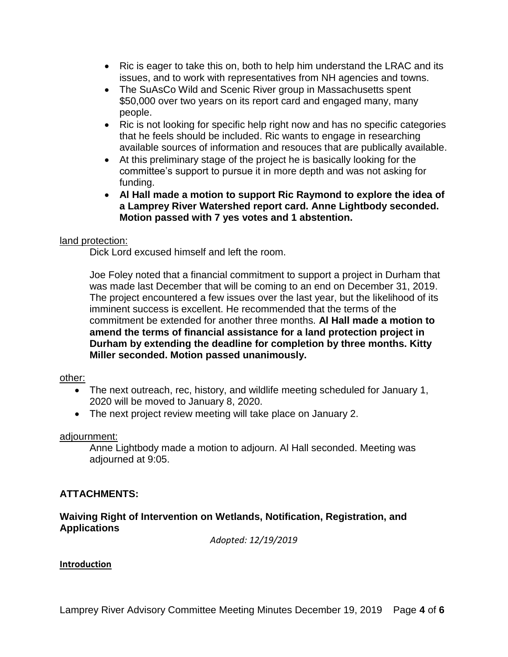- Ric is eager to take this on, both to help him understand the LRAC and its issues, and to work with representatives from NH agencies and towns.
- The SuAsCo Wild and Scenic River group in Massachusetts spent \$50,000 over two years on its report card and engaged many, many people.
- Ric is not looking for specific help right now and has no specific categories that he feels should be included. Ric wants to engage in researching available sources of information and resouces that are publically available.
- At this preliminary stage of the project he is basically looking for the committee's support to pursue it in more depth and was not asking for funding.
- **Al Hall made a motion to support Ric Raymond to explore the idea of a Lamprey River Watershed report card. Anne Lightbody seconded. Motion passed with 7 yes votes and 1 abstention.**

### land protection:

Dick Lord excused himself and left the room.

Joe Foley noted that a financial commitment to support a project in Durham that was made last December that will be coming to an end on December 31, 2019. The project encountered a few issues over the last year, but the likelihood of its imminent success is excellent. He recommended that the terms of the commitment be extended for another three months. **Al Hall made a motion to amend the terms of financial assistance for a land protection project in Durham by extending the deadline for completion by three months. Kitty Miller seconded. Motion passed unanimously.** 

### other:

- The next outreach, rec, history, and wildlife meeting scheduled for January 1, 2020 will be moved to January 8, 2020.
- The next project review meeting will take place on January 2.

### adjournment:

Anne Lightbody made a motion to adjourn. Al Hall seconded. Meeting was adjourned at 9:05.

## **ATTACHMENTS:**

### **Waiving Right of Intervention on Wetlands, Notification, Registration, and Applications**

*Adopted: 12/19/2019*

### **Introduction**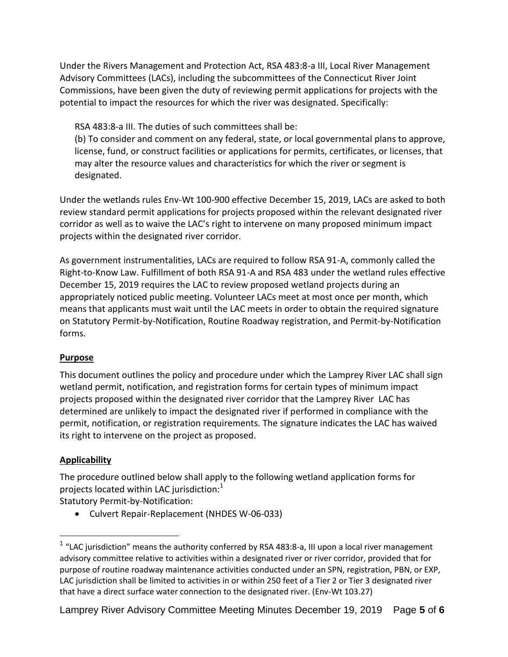Under the Rivers Management and Protection Act, RSA 483:8-a III, Local River Management Advisory Committees (LACs), including the subcommittees of the Connecticut River Joint Commissions, have been given the duty of reviewing permit applications for projects with the potential to impact the resources for which the river was designated. Specifically:

RSA 483:8-a III. The duties of such committees shall be: (b) To consider and comment on any federal, state, or local governmental plans to approve, license, fund, or construct facilities or applications for permits, certificates, or licenses, that may alter the resource values and characteristics for which the river or segment is designated.

Under the wetlands rules Env-Wt 100-900 effective December 15, 2019, LACs are asked to both review standard permit applications for projects proposed within the relevant designated river corridor as well as to waive the LAC's right to intervene on many proposed minimum impact projects within the designated river corridor.

As government instrumentalities, LACs are required to follow RSA 91-A, commonly called the Right-to-Know Law. Fulfillment of both RSA 91-A and RSA 483 under the wetland rules effective December 15, 2019 requires the LAC to review proposed wetland projects during an appropriately noticed public meeting. Volunteer LACs meet at most once per month, which means that applicants must wait until the LAC meets in order to obtain the required signature on Statutory Permit-by-Notification, Routine Roadway registration, and Permit-by-Notification forms.

## **Purpose**

This document outlines the policy and procedure under which the Lamprey River LAC shall sign wetland permit, notification, and registration forms for certain types of minimum impact projects proposed within the designated river corridor that the Lamprey River LAC has determined are unlikely to impact the designated river if performed in compliance with the permit, notification, or registration requirements. The signature indicates the LAC has waived its right to intervene on the project as proposed.

# **Applicability**

 $\overline{a}$ 

The procedure outlined below shall apply to the following wetland application forms for projects located within LAC jurisdiction: $1$ 

Statutory Permit-by-Notification:

Culvert Repair-Replacement (NHDES W-06-033)

<sup>&</sup>lt;sup>1</sup> "LAC jurisdiction" means the authority conferred by RSA 483:8-a, III upon a local river management advisory committee relative to activities within a designated river or river corridor, provided that for purpose of routine roadway maintenance activities conducted under an SPN, registration, PBN, or EXP, LAC jurisdiction shall be limited to activities in or within 250 feet of a Tier 2 or Tier 3 designated river that have a direct surface water connection to the designated river. (Env-Wt 103.27)